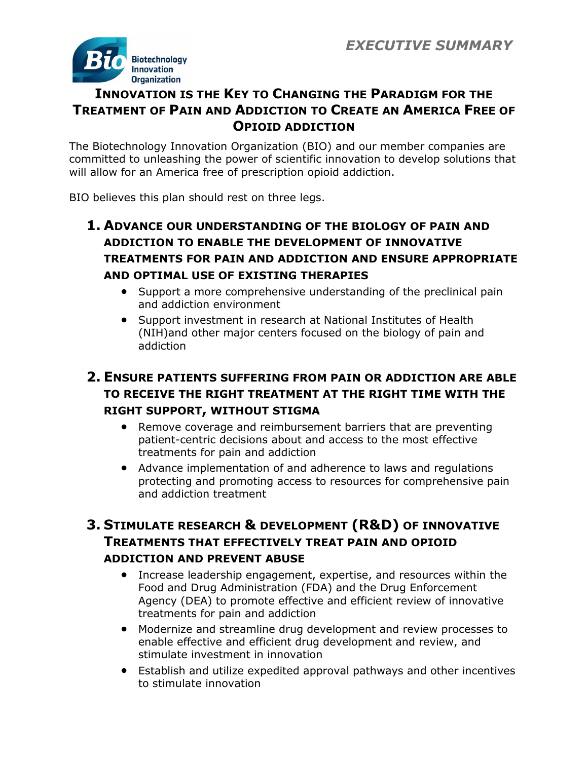

# **INNOVATION IS THE KEY TO CHANGING THE PARADIGM FOR THE TREATMENT OF PAIN AND ADDICTION TO CREATE AN AMERICA FREE OF OPIOID ADDICTION**

The Biotechnology Innovation Organization (BIO) and our member companies are committed to unleashing the power of scientific innovation to develop solutions that will allow for an America free of prescription opioid addiction.

BIO believes this plan should rest on three legs.

## **1. ADVANCE OUR UNDERSTANDING OF THE BIOLOGY OF PAIN AND ADDICTION TO ENABLE THE DEVELOPMENT OF INNOVATIVE TREATMENTS FOR PAIN AND ADDICTION AND ENSURE APPROPRIATE AND OPTIMAL USE OF EXISTING THERAPIES**

- Support a more comprehensive understanding of the preclinical pain and addiction environment
- Support investment in research at National Institutes of Health (NIH)and other major centers focused on the biology of pain and addiction

## **2. ENSURE PATIENTS SUFFERING FROM PAIN OR ADDICTION ARE ABLE TO RECEIVE THE RIGHT TREATMENT AT THE RIGHT TIME WITH THE RIGHT SUPPORT, WITHOUT STIGMA**

- Remove coverage and reimbursement barriers that are preventing patient-centric decisions about and access to the most effective treatments for pain and addiction
- Advance implementation of and adherence to laws and regulations protecting and promoting access to resources for comprehensive pain and addiction treatment

## **3. STIMULATE RESEARCH & DEVELOPMENT (R&D) OF INNOVATIVE TREATMENTS THAT EFFECTIVELY TREAT PAIN AND OPIOID ADDICTION AND PREVENT ABUSE**

- Increase leadership engagement, expertise, and resources within the Food and Drug Administration (FDA) and the Drug Enforcement Agency (DEA) to promote effective and efficient review of innovative treatments for pain and addiction
- Modernize and streamline drug development and review processes to enable effective and efficient drug development and review, and stimulate investment in innovation
- Establish and utilize expedited approval pathways and other incentives to stimulate innovation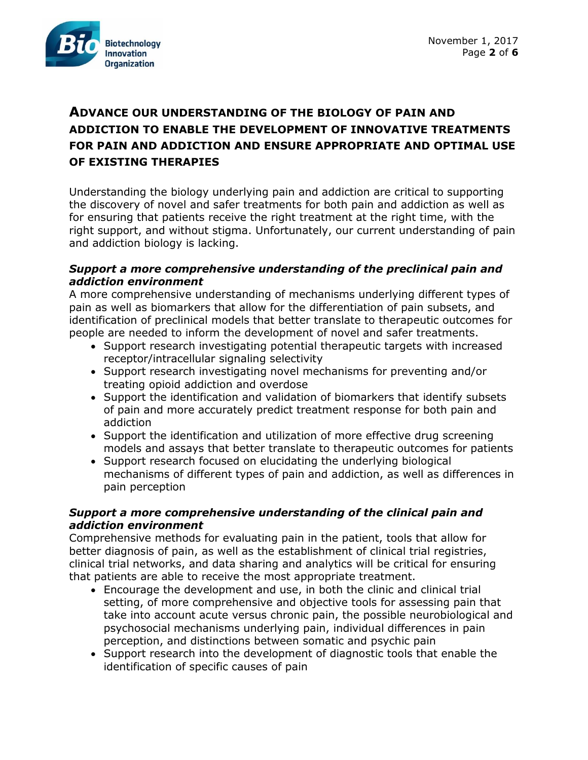

## **ADVANCE OUR UNDERSTANDING OF THE BIOLOGY OF PAIN AND ADDICTION TO ENABLE THE DEVELOPMENT OF INNOVATIVE TREATMENTS FOR PAIN AND ADDICTION AND ENSURE APPROPRIATE AND OPTIMAL USE OF EXISTING THERAPIES**

Understanding the biology underlying pain and addiction are critical to supporting the discovery of novel and safer treatments for both pain and addiction as well as for ensuring that patients receive the right treatment at the right time, with the right support, and without stigma. Unfortunately, our current understanding of pain and addiction biology is lacking.

### *Support a more comprehensive understanding of the preclinical pain and addiction environment*

A more comprehensive understanding of mechanisms underlying different types of pain as well as biomarkers that allow for the differentiation of pain subsets, and identification of preclinical models that better translate to therapeutic outcomes for people are needed to inform the development of novel and safer treatments.

- Support research investigating potential therapeutic targets with increased receptor/intracellular signaling selectivity
- Support research investigating novel mechanisms for preventing and/or treating opioid addiction and overdose
- Support the identification and validation of biomarkers that identify subsets of pain and more accurately predict treatment response for both pain and addiction
- Support the identification and utilization of more effective drug screening models and assays that better translate to therapeutic outcomes for patients
- Support research focused on elucidating the underlying biological mechanisms of different types of pain and addiction, as well as differences in pain perception

### *Support a more comprehensive understanding of the clinical pain and addiction environment*

Comprehensive methods for evaluating pain in the patient, tools that allow for better diagnosis of pain, as well as the establishment of clinical trial registries, clinical trial networks, and data sharing and analytics will be critical for ensuring that patients are able to receive the most appropriate treatment.

- Encourage the development and use, in both the clinic and clinical trial setting, of more comprehensive and objective tools for assessing pain that take into account acute versus chronic pain, the possible neurobiological and psychosocial mechanisms underlying pain, individual differences in pain perception, and distinctions between somatic and psychic pain
- Support research into the development of diagnostic tools that enable the identification of specific causes of pain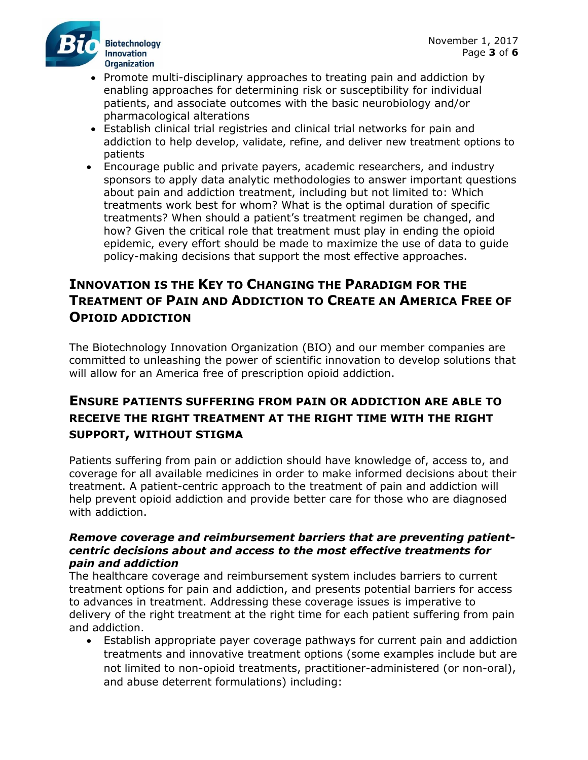

- Promote multi-disciplinary approaches to treating pain and addiction by enabling approaches for determining risk or susceptibility for individual patients, and associate outcomes with the basic neurobiology and/or pharmacological alterations
- Establish clinical trial registries and clinical trial networks for pain and addiction to help develop, validate, refine, and deliver new treatment options to patients
- Encourage public and private payers, academic researchers, and industry sponsors to apply data analytic methodologies to answer important questions about pain and addiction treatment, including but not limited to: Which treatments work best for whom? What is the optimal duration of specific treatments? When should a patient's treatment regimen be changed, and how? Given the critical role that treatment must play in ending the opioid epidemic, every effort should be made to maximize the use of data to guide policy-making decisions that support the most effective approaches.

## **INNOVATION IS THE KEY TO CHANGING THE PARADIGM FOR THE TREATMENT OF PAIN AND ADDICTION TO CREATE AN AMERICA FREE OF OPIOID ADDICTION**

The Biotechnology Innovation Organization (BIO) and our member companies are committed to unleashing the power of scientific innovation to develop solutions that will allow for an America free of prescription opioid addiction.

### **ENSURE PATIENTS SUFFERING FROM PAIN OR ADDICTION ARE ABLE TO RECEIVE THE RIGHT TREATMENT AT THE RIGHT TIME WITH THE RIGHT SUPPORT, WITHOUT STIGMA**

Patients suffering from pain or addiction should have knowledge of, access to, and coverage for all available medicines in order to make informed decisions about their treatment. A patient-centric approach to the treatment of pain and addiction will help prevent opioid addiction and provide better care for those who are diagnosed with addiction.

### *Remove coverage and reimbursement barriers that are preventing patientcentric decisions about and access to the most effective treatments for pain and addiction*

The healthcare coverage and reimbursement system includes barriers to current treatment options for pain and addiction, and presents potential barriers for access to advances in treatment. Addressing these coverage issues is imperative to delivery of the right treatment at the right time for each patient suffering from pain and addiction.

• Establish appropriate payer coverage pathways for current pain and addiction treatments and innovative treatment options (some examples include but are not limited to non-opioid treatments, practitioner-administered (or non-oral), and abuse deterrent formulations) including: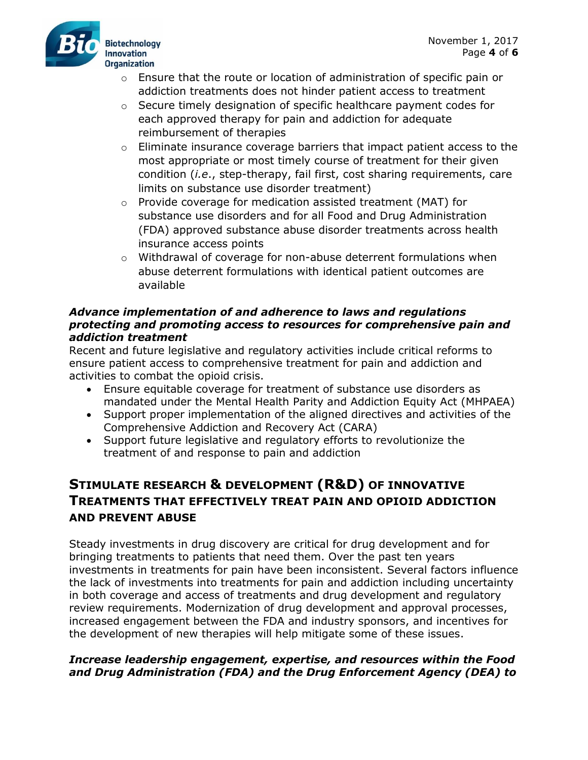

- $\circ$  Ensure that the route or location of administration of specific pain or addiction treatments does not hinder patient access to treatment
- o Secure timely designation of specific healthcare payment codes for each approved therapy for pain and addiction for adequate reimbursement of therapies
- $\circ$  Eliminate insurance coverage barriers that impact patient access to the most appropriate or most timely course of treatment for their given condition (*i.e*., step-therapy, fail first, cost sharing requirements, care limits on substance use disorder treatment)
- o Provide coverage for medication assisted treatment (MAT) for substance use disorders and for all Food and Drug Administration (FDA) approved substance abuse disorder treatments across health insurance access points
- $\circ$  Withdrawal of coverage for non-abuse deterrent formulations when abuse deterrent formulations with identical patient outcomes are available

### *Advance implementation of and adherence to laws and regulations protecting and promoting access to resources for comprehensive pain and addiction treatment*

Recent and future legislative and regulatory activities include critical reforms to ensure patient access to comprehensive treatment for pain and addiction and activities to combat the opioid crisis.

- Ensure equitable coverage for treatment of substance use disorders as mandated under the Mental Health Parity and Addiction Equity Act (MHPAEA)
- Support proper implementation of the aligned directives and activities of the Comprehensive Addiction and Recovery Act (CARA)
- Support future legislative and regulatory efforts to revolutionize the treatment of and response to pain and addiction

## **STIMULATE RESEARCH & DEVELOPMENT (R&D) OF INNOVATIVE TREATMENTS THAT EFFECTIVELY TREAT PAIN AND OPIOID ADDICTION AND PREVENT ABUSE**

Steady investments in drug discovery are critical for drug development and for bringing treatments to patients that need them. Over the past ten years investments in treatments for pain have been inconsistent. Several factors influence the lack of investments into treatments for pain and addiction including uncertainty in both coverage and access of treatments and drug development and regulatory review requirements. Modernization of drug development and approval processes, increased engagement between the FDA and industry sponsors, and incentives for the development of new therapies will help mitigate some of these issues.

### *Increase leadership engagement, expertise, and resources within the Food and Drug Administration (FDA) and the Drug Enforcement Agency (DEA) to*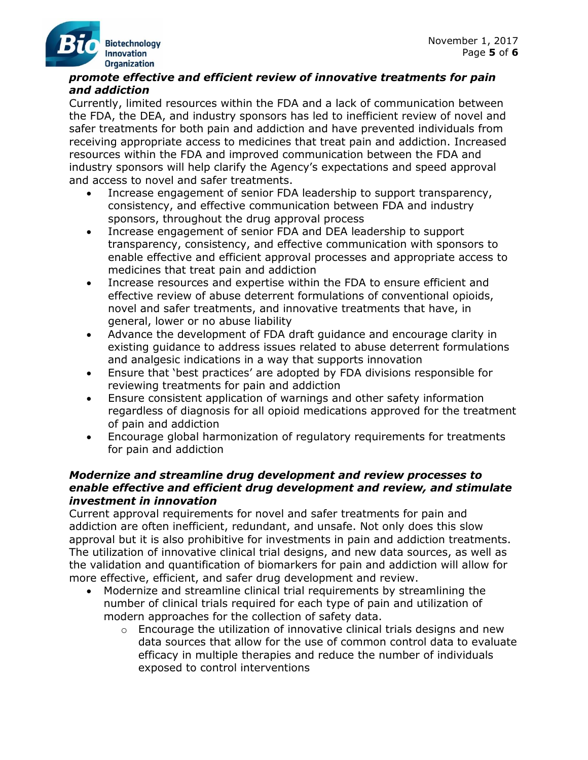### *promote effective and efficient review of innovative treatments for pain and addiction*

Currently, limited resources within the FDA and a lack of communication between the FDA, the DEA, and industry sponsors has led to inefficient review of novel and safer treatments for both pain and addiction and have prevented individuals from receiving appropriate access to medicines that treat pain and addiction. Increased resources within the FDA and improved communication between the FDA and industry sponsors will help clarify the Agency's expectations and speed approval and access to novel and safer treatments.

- Increase engagement of senior FDA leadership to support transparency, consistency, and effective communication between FDA and industry sponsors, throughout the drug approval process
- Increase engagement of senior FDA and DEA leadership to support transparency, consistency, and effective communication with sponsors to enable effective and efficient approval processes and appropriate access to medicines that treat pain and addiction
- Increase resources and expertise within the FDA to ensure efficient and effective review of abuse deterrent formulations of conventional opioids, novel and safer treatments, and innovative treatments that have, in general, lower or no abuse liability
- Advance the development of FDA draft guidance and encourage clarity in existing guidance to address issues related to abuse deterrent formulations and analgesic indications in a way that supports innovation
- Ensure that 'best practices' are adopted by FDA divisions responsible for reviewing treatments for pain and addiction
- Ensure consistent application of warnings and other safety information regardless of diagnosis for all opioid medications approved for the treatment of pain and addiction
- Encourage global harmonization of regulatory requirements for treatments for pain and addiction

### *Modernize and streamline drug development and review processes to enable effective and efficient drug development and review, and stimulate investment in innovation*

Current approval requirements for novel and safer treatments for pain and addiction are often inefficient, redundant, and unsafe. Not only does this slow approval but it is also prohibitive for investments in pain and addiction treatments. The utilization of innovative clinical trial designs, and new data sources, as well as the validation and quantification of biomarkers for pain and addiction will allow for more effective, efficient, and safer drug development and review.

- Modernize and streamline clinical trial requirements by streamlining the number of clinical trials required for each type of pain and utilization of modern approaches for the collection of safety data.
	- $\circ$  Encourage the utilization of innovative clinical trials designs and new data sources that allow for the use of common control data to evaluate efficacy in multiple therapies and reduce the number of individuals exposed to control interventions